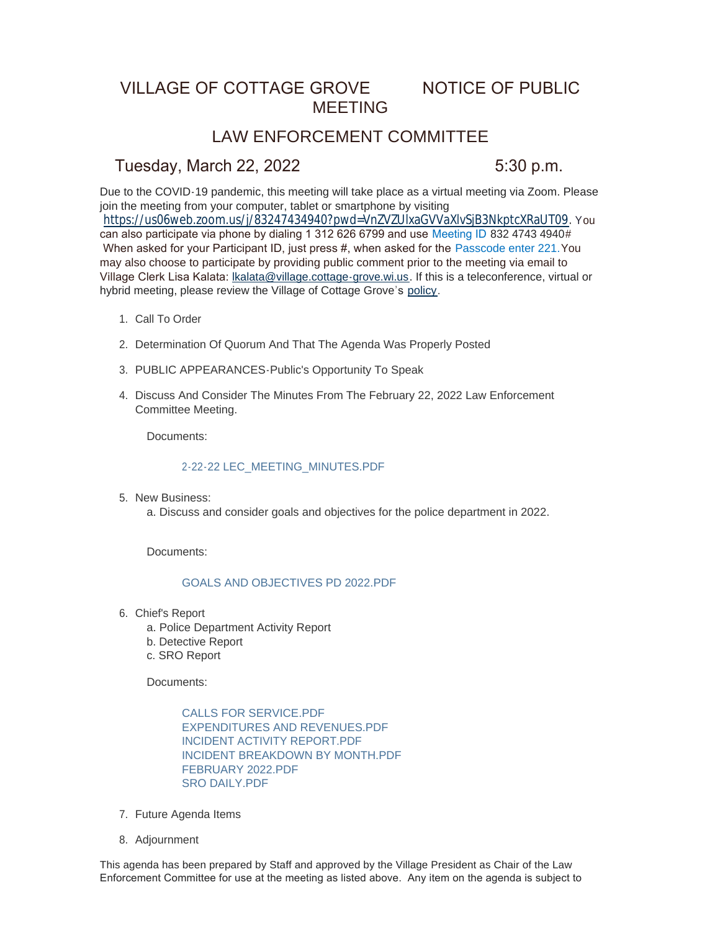# VILLAGE OF COTTAGE GROVE NOTICE OF PUBLIC MEETING

## LAW ENFORCEMENT COMMITTEE

## Tuesday, March 22, 2022 5:30 p.m.

Due to the COVID-19 pandemic, this meeting will take place as a virtual meeting via Zoom. Please join the meeting from your computer, tablet or smartphone by visiting <https://us06web.zoom.us/j/83247434940?pwd=VnZVZUlxaGVVaXlvSjB3NkptcXRaUT09>. You can also participate via phone by dialing 1 312 626 6799 and use Meeting ID 832 4743 4940# When asked for your Participant ID, just press #, when asked for the Passcode enter 221. You may also choose to participate by providing public comment prior to the meeting via email to Village Clerk Lisa Kalata: [lkalata@village.cottage-grove.wi.us](mailto:lkalata@village.cottage-grove.wi.us). If this is a teleconference, virtual or hybrid meeting, please review the Village of Cottage Grove's [policy](https://www.vi.cottagegrove.wi.gov/DocumentCenter/View/1850/Virtual-Hybrid-Tele-meeting-Policy-Final).

- 1. Call To Order
- 2. Determination Of Quorum And That The Agenda Was Properly Posted
- PUBLIC APPEARANCES-Public's Opportunity To Speak 3.
- 4. Discuss And Consider The Minutes From The February 22, 2022 Law Enforcement Committee Meeting.

Documents:

### [2-22-22 LEC\\_MEETING\\_MINUTES.PDF](https://www.vi.cottagegrove.wi.gov/AgendaCenter/ViewFile/Item/9784?fileID=19350)

5. New Business:

a. Discuss and consider goals and objectives for the police department in 2022.

Documents:

### [GOALS AND OBJECTIVES PD 2022.PDF](https://www.vi.cottagegrove.wi.gov/AgendaCenter/ViewFile/Item/9785?fileID=19351)

- 6. Chief's Report
	- a. Police Department Activity Report
	- b. Detective Report
	- c. SRO Report

Documents:

[CALLS FOR SERVICE.PDF](https://www.vi.cottagegrove.wi.gov/AgendaCenter/ViewFile/Item/9789?fileID=19358) [EXPENDITURES AND REVENUES.PDF](https://www.vi.cottagegrove.wi.gov/AgendaCenter/ViewFile/Item/9789?fileID=19359) [INCIDENT ACTIVITY REPORT.PDF](https://www.vi.cottagegrove.wi.gov/AgendaCenter/ViewFile/Item/9789?fileID=19360) [INCIDENT BREAKDOWN BY MONTH.PDF](https://www.vi.cottagegrove.wi.gov/AgendaCenter/ViewFile/Item/9789?fileID=19361) [FEBRUARY 2022.PDF](https://www.vi.cottagegrove.wi.gov/AgendaCenter/ViewFile/Item/9789?fileID=19362) [SRO DAILY.PDF](https://www.vi.cottagegrove.wi.gov/AgendaCenter/ViewFile/Item/9789?fileID=19363)

- 7. Future Agenda Items
- 8. Adjournment

This agenda has been prepared by Staff and approved by the Village President as Chair of the Law Enforcement Committee for use at the meeting as listed above. Any item on the agenda is subject to